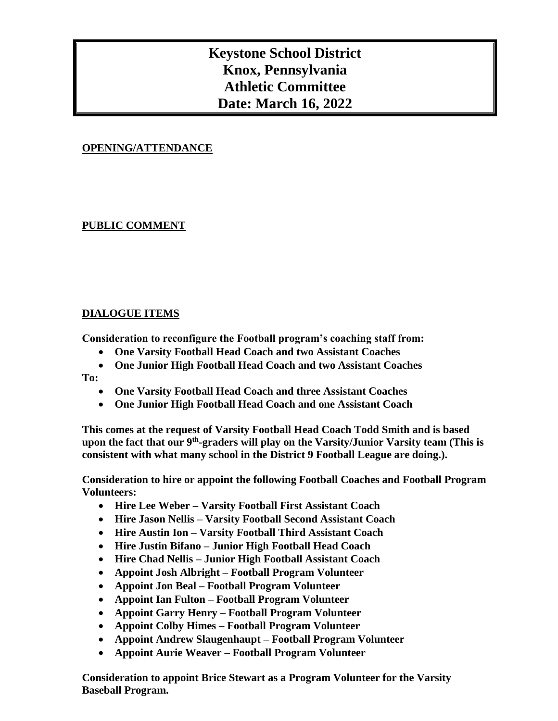# **Keystone School District Knox, Pennsylvania Athletic Committee Date: March 16, 2022**

## **OPENING/ATTENDANCE**

### **PUBLIC COMMENT**

#### **DIALOGUE ITEMS**

**Consideration to reconfigure the Football program's coaching staff from:**

- **One Varsity Football Head Coach and two Assistant Coaches**
- **One Junior High Football Head Coach and two Assistant Coaches**

**To:**

- **One Varsity Football Head Coach and three Assistant Coaches**
- **One Junior High Football Head Coach and one Assistant Coach**

**This comes at the request of Varsity Football Head Coach Todd Smith and is based upon the fact that our 9th -graders will play on the Varsity/Junior Varsity team (This is consistent with what many school in the District 9 Football League are doing.).**

**Consideration to hire or appoint the following Football Coaches and Football Program Volunteers:**

- **Hire Lee Weber – Varsity Football First Assistant Coach**
- **Hire Jason Nellis – Varsity Football Second Assistant Coach**
- **Hire Austin Ion – Varsity Football Third Assistant Coach**
- **Hire Justin Bifano – Junior High Football Head Coach**
- **Hire Chad Nellis – Junior High Football Assistant Coach**
- **Appoint Josh Albright – Football Program Volunteer**
- **Appoint Jon Beal – Football Program Volunteer**
- **Appoint Ian Fulton – Football Program Volunteer**
- **Appoint Garry Henry – Football Program Volunteer**
- **Appoint Colby Himes – Football Program Volunteer**
- **Appoint Andrew Slaugenhaupt – Football Program Volunteer**
- **Appoint Aurie Weaver – Football Program Volunteer**

**Consideration to appoint Brice Stewart as a Program Volunteer for the Varsity Baseball Program.**